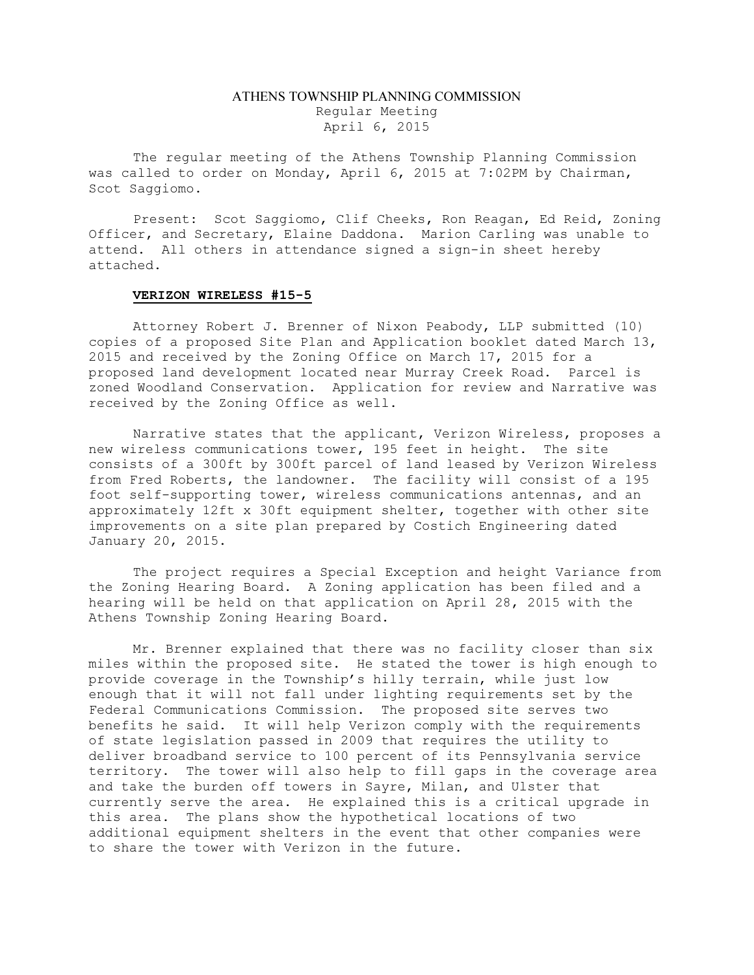## ATHENS TOWNSHIP PLANNING COMMISSION Regular Meeting April 6, 2015

The regular meeting of the Athens Township Planning Commission was called to order on Monday, April 6, 2015 at 7:02PM by Chairman, Scot Saggiomo.

Present: Scot Saggiomo, Clif Cheeks, Ron Reagan, Ed Reid, Zoning Officer, and Secretary, Elaine Daddona. Marion Carling was unable to attend. All others in attendance signed a sign-in sheet hereby attached.

## VERIZON WIRELESS #15-5

Attorney Robert J. Brenner of Nixon Peabody, LLP submitted (10) copies of a proposed Site Plan and Application booklet dated March 13, 2015 and received by the Zoning Office on March 17, 2015 for a proposed land development located near Murray Creek Road. Parcel is zoned Woodland Conservation. Application for review and Narrative was received by the Zoning Office as well.

Narrative states that the applicant, Verizon Wireless, proposes a new wireless communications tower, 195 feet in height. The site consists of a 300ft by 300ft parcel of land leased by Verizon Wireless from Fred Roberts, the landowner. The facility will consist of a 195 foot self-supporting tower, wireless communications antennas, and an approximately 12ft x 30ft equipment shelter, together with other site improvements on a site plan prepared by Costich Engineering dated January 20, 2015.

The project requires a Special Exception and height Variance from the Zoning Hearing Board. A Zoning application has been filed and a hearing will be held on that application on April 28, 2015 with the Athens Township Zoning Hearing Board.

Mr. Brenner explained that there was no facility closer than six miles within the proposed site. He stated the tower is high enough to provide coverage in the Township's hilly terrain, while just low enough that it will not fall under lighting requirements set by the Federal Communications Commission. The proposed site serves two benefits he said. It will help Verizon comply with the requirements of state legislation passed in 2009 that requires the utility to deliver broadband service to 100 percent of its Pennsylvania service territory. The tower will also help to fill gaps in the coverage area and take the burden off towers in Sayre, Milan, and Ulster that currently serve the area. He explained this is a critical upgrade in this area. The plans show the hypothetical locations of two additional equipment shelters in the event that other companies were to share the tower with Verizon in the future.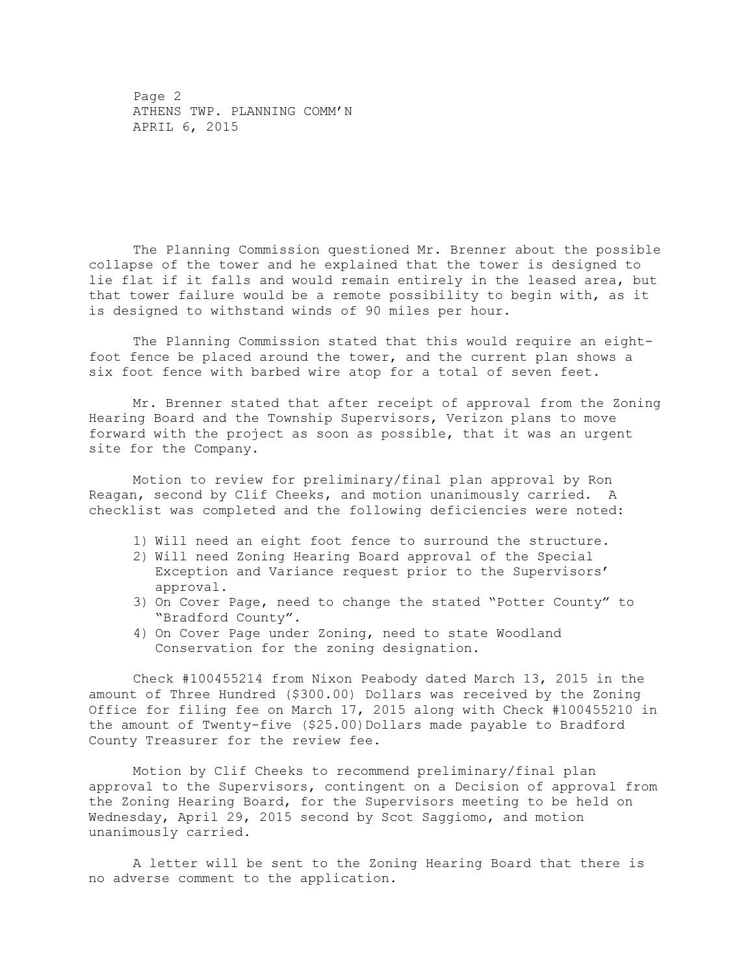Page 2 ATHENS TWP. PLANNING COMM'N APRIL 6, 2015

The Planning Commission questioned Mr. Brenner about the possible collapse of the tower and he explained that the tower is designed to lie flat if it falls and would remain entirely in the leased area, but that tower failure would be a remote possibility to begin with, as it is designed to withstand winds of 90 miles per hour.

The Planning Commission stated that this would require an eightfoot fence be placed around the tower, and the current plan shows a six foot fence with barbed wire atop for a total of seven feet.

Mr. Brenner stated that after receipt of approval from the Zoning Hearing Board and the Township Supervisors, Verizon plans to move forward with the project as soon as possible, that it was an urgent site for the Company.

Motion to review for preliminary/final plan approval by Ron Reagan, second by Clif Cheeks, and motion unanimously carried. A checklist was completed and the following deficiencies were noted:

- 1) Will need an eight foot fence to surround the structure.
- 2) Will need Zoning Hearing Board approval of the Special Exception and Variance request prior to the Supervisors' approval.
- 3) On Cover Page, need to change the stated "Potter County" to "Bradford County".
- 4) On Cover Page under Zoning, need to state Woodland Conservation for the zoning designation.

Check #100455214 from Nixon Peabody dated March 13, 2015 in the amount of Three Hundred (\$300.00) Dollars was received by the Zoning Office for filing fee on March 17, 2015 along with Check #100455210 in the amount of Twenty-five (\$25.00)Dollars made payable to Bradford County Treasurer for the review fee.

Motion by Clif Cheeks to recommend preliminary/final plan approval to the Supervisors, contingent on a Decision of approval from the Zoning Hearing Board, for the Supervisors meeting to be held on Wednesday, April 29, 2015 second by Scot Saggiomo, and motion unanimously carried.

A letter will be sent to the Zoning Hearing Board that there is no adverse comment to the application.